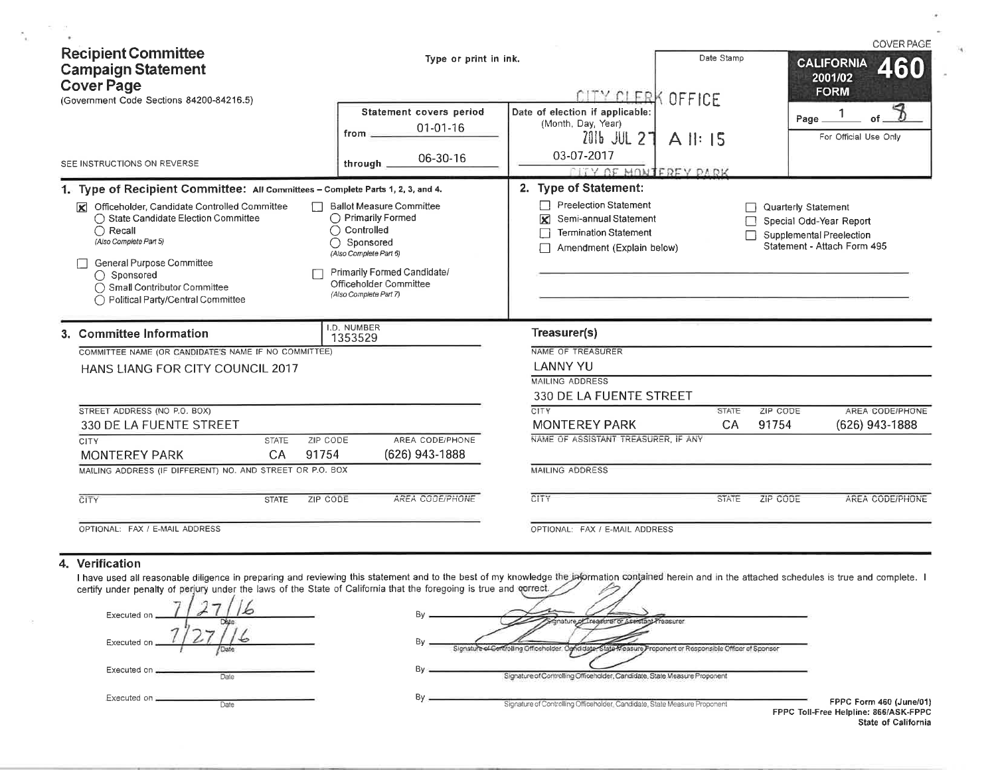| <b>Recipient Committee</b><br><b>Campaign Statement</b><br><b>Cover Page</b><br>(Government Code Sections 84200-84216.5)                                                                                                                                                                                                                                                     | Type or print in ink.                                                                                                                                                                                                               | CITY CLERK OFFICE                                                                                                                                                | Date Stamp               | <b>COVER PAGE</b><br><b>CALIFORNIA</b><br>460<br>2001/02<br><b>FORM</b>                                   |
|------------------------------------------------------------------------------------------------------------------------------------------------------------------------------------------------------------------------------------------------------------------------------------------------------------------------------------------------------------------------------|-------------------------------------------------------------------------------------------------------------------------------------------------------------------------------------------------------------------------------------|------------------------------------------------------------------------------------------------------------------------------------------------------------------|--------------------------|-----------------------------------------------------------------------------------------------------------|
|                                                                                                                                                                                                                                                                                                                                                                              | Statement covers period<br>$01 - 01 - 16$<br>from                                                                                                                                                                                   | Date of election if applicable:<br>(Month, Day, Year)<br>2016 JUL 27<br>03-07-2017                                                                               | $A$ $\parallel$ : 15     | of.<br>Page_<br>For Official Use Only                                                                     |
| SEE INSTRUCTIONS ON REVERSE                                                                                                                                                                                                                                                                                                                                                  | 06-30-16<br>through.                                                                                                                                                                                                                | <b>LITY OF MONTEREY PARK</b>                                                                                                                                     |                          |                                                                                                           |
| 1. Type of Recipient Committee: All Committees - Complete Parts 1, 2, 3, and 4.<br>Officeholder, Candidate Controlled Committee<br>◯ State Candidate Election Committee<br>$\bigcap$ Recall<br>(Also Complete Part 5)<br><b>General Purpose Committee</b><br>◯ Sponsored<br>◯ Small Contributor Committee<br>◯ Political Party/Central Committee<br>3. Committee Information | <b>Ballot Measure Committee</b><br>◯ Primarily Formed<br>◯ Controlled<br>$\bigcap$ Sponsored<br>(Also Complete Part 6)<br>Primarily Formed Candidate/<br>Officeholder Committee<br>(Also Complete Part 7)<br>I.D. NUMBER<br>1353529 | 2. Type of Statement:<br><b>Preelection Statement</b><br>Semi-annual Statement<br>⊠<br><b>Termination Statement</b><br>Amendment (Explain below)<br>Treasurer(s) |                          | Quarterly Statement<br>Special Odd-Year Report<br>Supplemental Preelection<br>Statement - Attach Form 495 |
| COMMITTEE NAME (OR CANDIDATE'S NAME IF NO COMMITTEE)<br><b>HANS LIANG FOR CITY COUNCIL 2017</b><br>STREET ADDRESS (NO P.O. BOX)                                                                                                                                                                                                                                              |                                                                                                                                                                                                                                     | NAME OF TREASURER<br><b>LANNY YU</b><br><b>MAILING ADDRESS</b><br>330 DE LA FUENTE STREET<br>CITY                                                                | ZIP CODE<br><b>STATE</b> | AREA CODE/PHONE                                                                                           |
| 330 DE LA FUENTE STREET                                                                                                                                                                                                                                                                                                                                                      |                                                                                                                                                                                                                                     | <b>MONTEREY PARK</b>                                                                                                                                             | CA<br>91754              | (626) 943-1888                                                                                            |
| <b>CITY</b><br>ZIP CODE<br><b>STATE</b><br>91754<br><b>MONTEREY PARK</b><br>CA<br>MAILING ADDRESS (IF DIFFERENT) NO. AND STREET OR P.O. BOX                                                                                                                                                                                                                                  | AREA CODE/PHONE<br>(626) 943-1888                                                                                                                                                                                                   | NAME OF ASSISTANT TREASURER. IF ANY<br><b>MAILING ADDRESS</b>                                                                                                    |                          |                                                                                                           |
| CITY<br><b>ZIP CODE</b><br><b>STATE</b>                                                                                                                                                                                                                                                                                                                                      | AREA CODE/PHONE                                                                                                                                                                                                                     | CITY                                                                                                                                                             | ZIP CODE<br><b>STATE</b> | AREA CODE/PHONE                                                                                           |
| OPTIONAL: FAX / E-MAIL ADDRESS                                                                                                                                                                                                                                                                                                                                               |                                                                                                                                                                                                                                     | OPTIONAL: FAX / E-MAIL ADDRESS                                                                                                                                   |                          |                                                                                                           |

#### 4. Verification

 $\mathcal{Q}_\mathcal{C}$ 

 $\mathbb{R}^n \to \mathbb{R}^n$ 

×

 $\mathcal{F}_{\widetilde{\chi}_1}$ 

I have used all reasonable diligence in preparing and reviewing this statement and to the best of my knowledge the information contained herein and in the attached schedules is true and complete. I certify under penalty of

| Executed on           | Bv<br>er or Aseistant-Freasurer                                                                                         |
|-----------------------|-------------------------------------------------------------------------------------------------------------------------|
| Executed on           | Bν                                                                                                                      |
| /Date                 | Signature of Centrolling Cifficeholder Candidate, State Measure Proponent or Responsible Officer of Sponsor             |
| Executed on _         | By                                                                                                                      |
| Date                  | Signature of Controlling Officeholder, Candidate, State Measure Proponent                                               |
| Executed on _<br>Date | Bv<br>FPPC<br>Signature of Controlling Officeholder, Candidate, State Measure Proponent<br><b>FPPC Toll-Free Helpli</b> |

Form 460 (June/01)<br>Iline: 866/ASK-FPPC State of California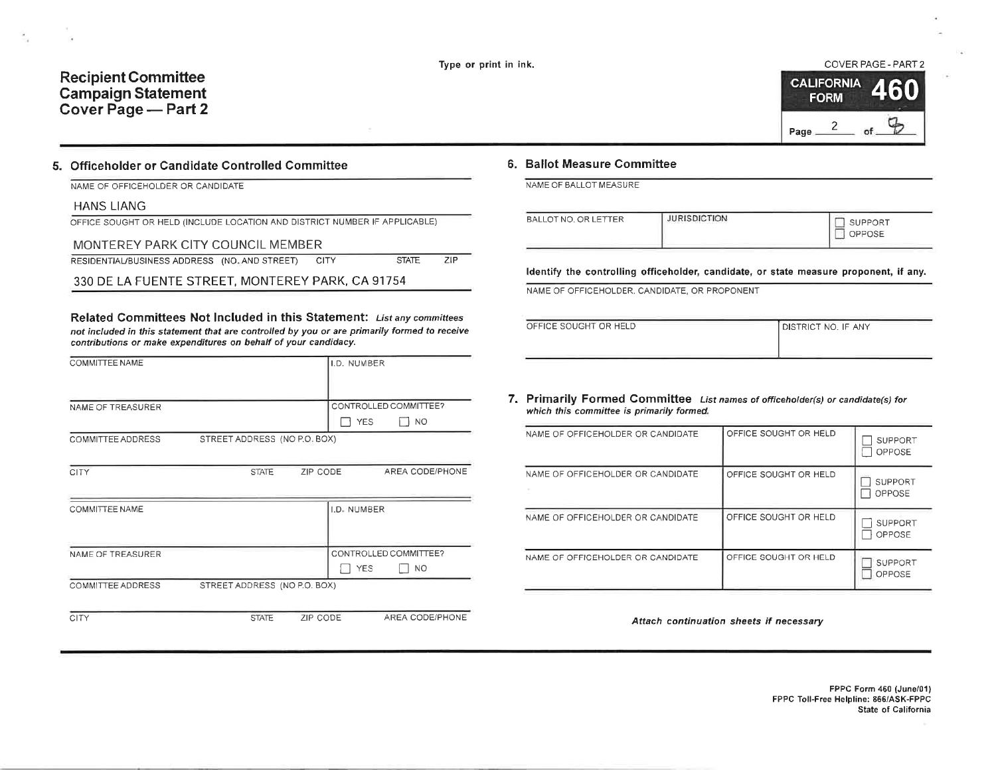$PTAT$ 

 $\overline{71}$ 

## **Recipient Committee Campaign Statement** Cover Page - Part 2



## 5. Officeholder or Candidate Controlled Committee

NAME OF OFFICEHOLDER OR CANDIDATE

#### **HANS LIANG**

OFFICE SOUGHT OR HELD (INCLUDE LOCATION AND DISTRICT NUMBER IF APPLICABLE)

#### MONTEREY PARK CITY COUNCIL MEMBER **PECIDENTIAL (DUCINECO ADDRECO - AND AND CTOECT)**

| RESIDENTIALIBUSINESS AUDRESS (NO. AND STREET) CITT |  | SIALE | $\sim$ |
|----------------------------------------------------|--|-------|--------|
|                                                    |  |       |        |

330 DE LA FUENTE STREET, MONTEREY PARK, CA 91754

Related Committees Not Included in this Statement: List any committees not included in this statement that are controlled by you or are primarily formed to receive contributions or make expenditures on behalf of your candidacy.

| COMMITTEE NAME        |                              |          | I.D. NUMBER |                       |
|-----------------------|------------------------------|----------|-------------|-----------------------|
|                       |                              |          |             |                       |
|                       |                              |          |             |                       |
|                       |                              |          |             |                       |
| NAME OF TREASURER     |                              |          |             | CONTROLLED COMMITTEE? |
|                       |                              |          | <b>YES</b>  | <b>NO</b>             |
| COMMITTEE ADDRESS     | STREET ADDRESS (NO P.O. BOX) |          |             |                       |
|                       |                              |          |             |                       |
|                       |                              |          |             |                       |
| CITY                  | <b>STATE</b>                 | ZIP CODE |             | AREA CODE/PHONE       |
|                       |                              |          |             |                       |
|                       |                              |          |             |                       |
| <b>COMMITTEE NAME</b> |                              |          | I.D. NUMBER |                       |
|                       |                              |          |             |                       |
|                       |                              |          |             |                       |
| NAME OF TREASURER     |                              |          |             | CONTROLLED COMMITTEE? |
|                       |                              |          | <b>YES</b>  | NO.                   |
|                       |                              |          |             |                       |
| COMMITTEE ADDRESS     | STREET ADDRESS (NO P.O. BOX) |          |             |                       |
|                       |                              |          |             |                       |

**CITY** 

**ZIP CODE** AREA CODE/PHONE **STATE** 

### 6. Ballot Measure Committee

NAME OF BALLOT MEASURE

| BALLOT NO. OR LETTER | <b>JURISDICTION</b> | <b>SUPPORT</b><br>OPPOSE |
|----------------------|---------------------|--------------------------|
|                      |                     |                          |

Identify the controlling officeholder, candidate, or state measure proponent, if any.

NAME OF OFFICEHOLDER, CANDIDATE, OR PROPONENT

| OFFICE SOUGHT OR HELD | DISTRICT NO. IF ANY |
|-----------------------|---------------------|
|                       |                     |

#### 7. Primarily Formed Committee List names of officeholder(s) or candidate(s) for which this committee is primarily formed.

| NAME OF OFFICEHOLDER OR CANDIDATE | OFFICE SOUGHT OR HELD | <b>SUPPORT</b><br>OPPOSE        |
|-----------------------------------|-----------------------|---------------------------------|
| NAME OF OFFICEHOLDER OR CANDIDATE | OFFICE SOUGHT OR HELD | <b>SUPPORT</b><br><b>OPPOSE</b> |
| NAME OF OFFICEHOLDER OR CANDIDATE | OFFICE SOUGHT OR HELD | <b>SUPPORT</b><br>OPPOSE        |
| NAME OF OFFICEHOLDER OR CANDIDATE | OFFICE SOUGHT OR HELD | <b>SUPPORT</b><br>OPPOSE        |

Attach continuation sheets if necessary

FPPC Form 460 (June/01) FPPC Toll-Free Helpline: 866/ASK-FPPC State of California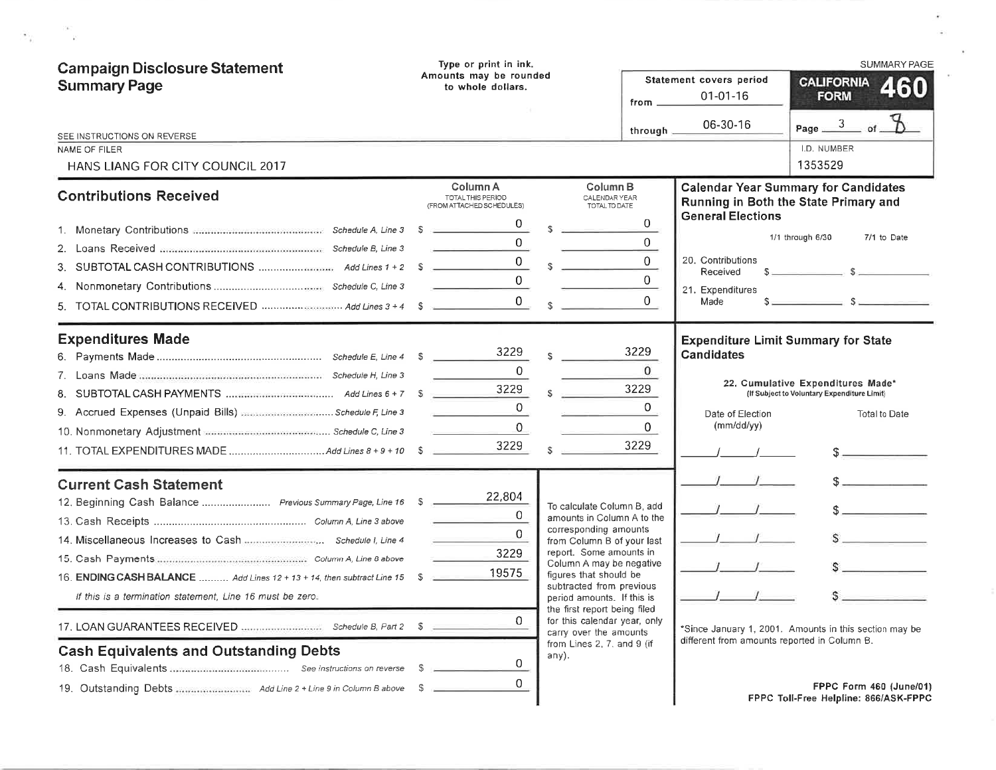| <b>Campaign Disclosure Statement</b><br><b>Summary Page</b>                                                                                                                                                                           | Type or print in ink.<br>Amounts may be rounded<br>to whole dollars. | <b>SUMMARY PAGE</b><br>Statement covers period<br><b>CALIFORNIA</b><br>460<br>$01 - 01 - 16$<br><b>FORM</b><br>from _                                                                                                                                                                      |
|---------------------------------------------------------------------------------------------------------------------------------------------------------------------------------------------------------------------------------------|----------------------------------------------------------------------|--------------------------------------------------------------------------------------------------------------------------------------------------------------------------------------------------------------------------------------------------------------------------------------------|
| SEE INSTRUCTIONS ON REVERSE                                                                                                                                                                                                           |                                                                      | Page $\frac{3}{2}$ of<br>06-30-16<br>through                                                                                                                                                                                                                                               |
| NAME OF FILER<br>HANS LIANG FOR CITY COUNCIL 2017                                                                                                                                                                                     |                                                                      | I.D. NUMBER<br>1353529                                                                                                                                                                                                                                                                     |
| <b>Contributions Received</b>                                                                                                                                                                                                         | Column A<br><b>TOTAL THIS PERIOD</b><br>(FROM ATTACHED SCHEDULES)    | Column <sub>B</sub><br><b>Calendar Year Summary for Candidates</b><br>CALENDAR YEAR<br>Running in Both the State Primary and<br>TOTAL TO DATE                                                                                                                                              |
| З.                                                                                                                                                                                                                                    | $\Omega$<br>0                                                        | <b>General Elections</b><br>$\overline{0}$<br>1/1 through 6/30<br>7/1 to Date<br>$\mathbf 0$<br>$\overline{0}$<br>20. Contributions<br>Received                                                                                                                                            |
|                                                                                                                                                                                                                                       |                                                                      | $\Omega$<br>21. Expenditures<br>$\sim$ $\sim$ $\sim$ $\sim$ $\sim$<br>$\Omega$<br>Made                                                                                                                                                                                                     |
| <b>Expenditures Made</b><br>8.<br>9. Accrued Expenses (Unpaid Bills) manufactures and Schedule F, Line 3                                                                                                                              | 3229<br>$\Omega$<br>3229<br>0<br>0<br>3229                           | <b>Expenditure Limit Summary for State</b><br>3229<br><b>Candidates</b><br>$\mathbf{0}$<br>22. Cumulative Expenditures Made*<br>3229<br>(If Subject to Voluntary Expenditure Limit)<br>0<br>Date of Election<br><b>Total to Date</b><br>(mm/dd/yy)<br>$\mathbf{0}$<br>3229                 |
| <b>Current Cash Statement</b><br>12. Beginning Cash Balance  Previous Summary Page, Line 16 \$<br>16. ENDING CASH BALANCE  Add Lines 12 + 13 + 14, then subtract Line 15<br>If this is a termination statement, Line 16 must be zero. | 22,804<br>$\overline{0}$<br>$\Omega$<br>3229<br>19575<br>-S          | To calculate Column B, add<br>amounts in Column A to the<br>corresponding amounts<br>from Column B of your last<br>report. Some amounts in<br>Column A may be negative<br>figures that should be<br>subtracted from previous<br>period amounts. If this is<br>the first report being filed |
|                                                                                                                                                                                                                                       | 0                                                                    | for this calendar year, only<br>*Since January 1, 2001. Amounts in this section may be<br>carry over the amounts<br>different from amounts reported in Column B.                                                                                                                           |
| <b>Cash Equivalents and Outstanding Debts</b>                                                                                                                                                                                         | any).<br>0<br>0                                                      | from Lines 2, 7. and 9 (if<br>FPPC Form 460 (June/01)<br>FPPC Toll-Free Helpline: 866/ASK-FPPC                                                                                                                                                                                             |

 $\langle \sigma \rangle$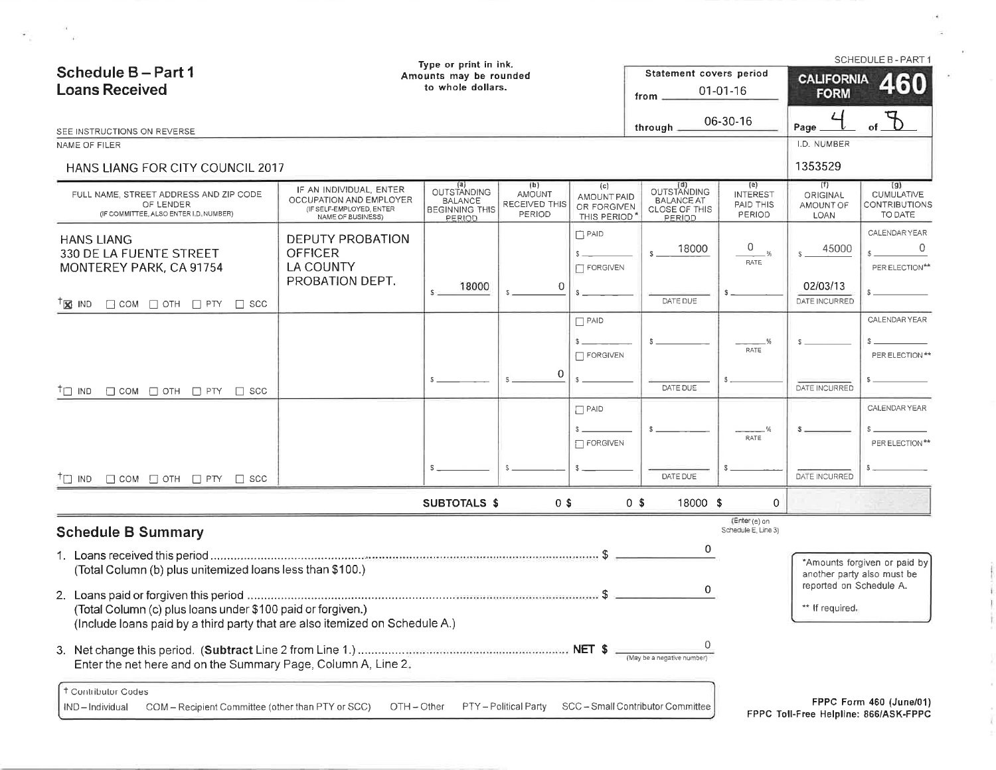|                                                                                                                                            | Type or print in ink.                                                                         |                                          |                                                                    | Statement covers period<br>from                                    |                                                             | <b>CALIFORNIA</b><br><b>FORM</b>            | <b>SCHEDULE B - PART 1</b><br>460                           |
|--------------------------------------------------------------------------------------------------------------------------------------------|-----------------------------------------------------------------------------------------------|------------------------------------------|--------------------------------------------------------------------|--------------------------------------------------------------------|-------------------------------------------------------------|---------------------------------------------|-------------------------------------------------------------|
|                                                                                                                                            |                                                                                               |                                          |                                                                    | through                                                            |                                                             | Page                                        |                                                             |
|                                                                                                                                            |                                                                                               |                                          |                                                                    |                                                                    |                                                             | I.D. NUMBER<br>1353529                      |                                                             |
| IF AN INDIVIDUAL, ENTER<br>OCCUPATION AND EMPLOYER<br>(IF SELF-EMPLOYED, ENTER<br>NAME OF BUSINESS)                                        | (a)<br>OUTSTANDING<br><b>BALANCE</b><br><b>BEGINNING THIS</b><br>PERIOD                       | (b)<br>AMOUNT<br>RECEIVED THIS<br>PERIOD | (c)                                                                | OUTSTANDING<br><b>BALANCE AT</b><br><b>CLOSE OF THIS</b><br>PERIOD | (e)<br><b>INTEREST</b><br>PAID THIS<br>PERIOD               | (1)<br>ORIGINAL<br>AMOUNT OF<br><b>LOAN</b> | (g)<br><b>CUMULATIVE</b><br><b>CONTRIBUTIONS</b><br>TO DATE |
| <b>DEPUTY PROBATION</b><br><b>OFFICER</b><br><b>LA COUNTY</b><br>PROBATION DEPT.                                                           | 18000                                                                                         | 0                                        | $\Box$ PAID<br>$s =$<br>FORGIVEN                                   | 18000<br>S.                                                        | 0<br>$-$ %<br><b>RATE</b>                                   | 45000<br>$S =$<br>02/03/13                  | CALENDAR YEAR<br>0<br>PER ELECTION**                        |
|                                                                                                                                            |                                                                                               |                                          |                                                                    | DATE DUE                                                           |                                                             | DATE INCURRED                               |                                                             |
|                                                                                                                                            |                                                                                               | 0                                        | FORGIVEN                                                           | DATE DUE                                                           | RATE                                                        | s<br>DATE INCURRED                          | CALENDAR YEAR<br>PER ELECTION **                            |
|                                                                                                                                            |                                                                                               |                                          | $\Box$ FORGIVEN                                                    |                                                                    | %<br>RATE                                                   |                                             | CALENDAR YEAR<br>PER ELECTION**                             |
|                                                                                                                                            |                                                                                               |                                          |                                                                    | DATE DUE                                                           |                                                             | DATE INCURRED                               |                                                             |
|                                                                                                                                            |                                                                                               |                                          |                                                                    |                                                                    | $\mathbf{0}$                                                |                                             |                                                             |
|                                                                                                                                            |                                                                                               |                                          |                                                                    | 0                                                                  | (Enter (e) on<br>Schedule E, Line 3)                        |                                             |                                                             |
| (Total Column (c) plus loans under \$100 paid or forgiven.)<br>(Include loans paid by a third party that are also itemized on Schedule A.) |                                                                                               |                                          |                                                                    | 0                                                                  |                                                             | ** If required,                             | *Amounts forgiven or paid by<br>another party also must be  |
|                                                                                                                                            | HANS LIANG FOR CITY COUNCIL 2017<br>(Total Column (b) plus unitemized loans less than \$100.) | $S$ .                                    | Amounts may be rounded<br>to whole dollars.<br><b>SUBTOTALS \$</b> | $\Box$ PAID<br>$\Box$ PAID<br>$0$ \$                               | AMOUNT PAID<br>OR FORGIVEN<br>THIS PERIOD<br>0 <sup>5</sup> | $01-01-16$<br>06-30-16<br>18000 \$          | reported on Schedule A.                                     |

10

X.

 $\mathcal{P}_{\mathcal{A}}$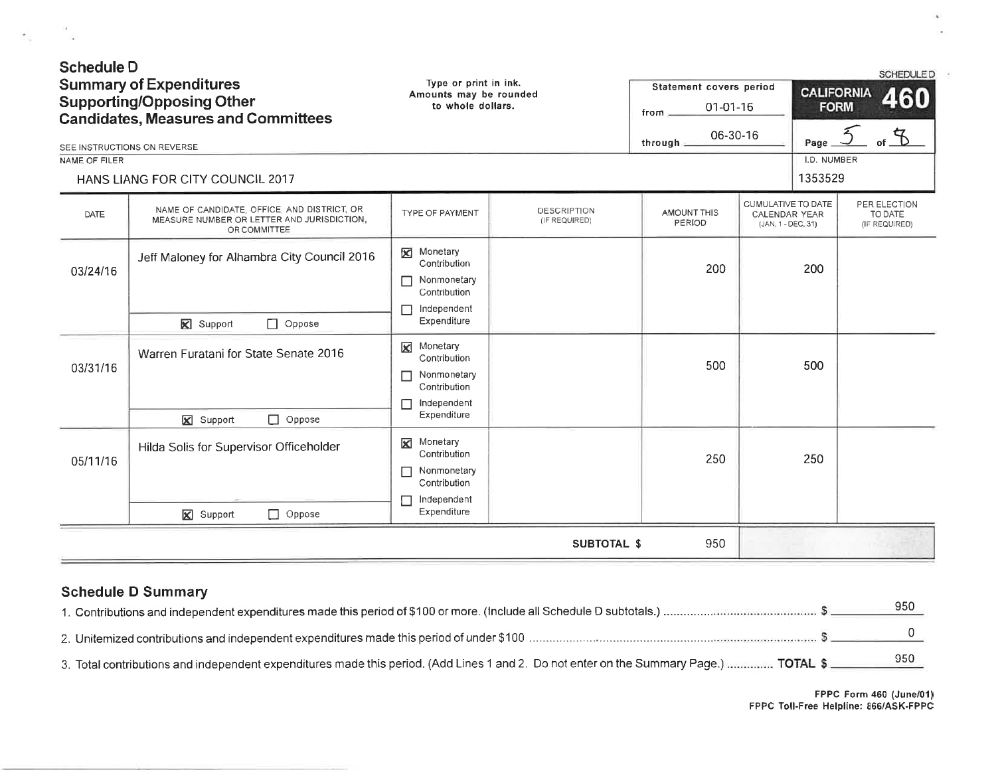| <b>Schedule D</b><br>NAME OF FILER | <b>Summary of Expenditures</b><br><b>Supporting/Opposing Other</b><br><b>Candidates, Measures and Committees</b><br>SEE INSTRUCTIONS ON REVERSE<br>HANS LIANG FOR CITY COUNCIL 2017 | Type or print in ink.<br>Amounts may be rounded<br>to whole dollars.                                 |                                     | Statement covers period<br>$01-01-16$<br>from<br>06-30-16<br>through: |                                                           | <b>CALIFORNIA</b><br><b>FORM</b><br>Page<br>I.D. NUMBER<br>1353529 | <b>SCHEDULED</b><br>460<br>$\frac{4}{9}$ to |
|------------------------------------|-------------------------------------------------------------------------------------------------------------------------------------------------------------------------------------|------------------------------------------------------------------------------------------------------|-------------------------------------|-----------------------------------------------------------------------|-----------------------------------------------------------|--------------------------------------------------------------------|---------------------------------------------|
| <b>DATE</b>                        | NAME OF CANDIDATE. OFFICE, AND DISTRICT, OR<br>MEASURE NUMBER OR LETTER AND JURISDICTION,<br>OR COMMITTEE                                                                           | TYPE OF PAYMENT                                                                                      | <b>DESCRIPTION</b><br>(IF REQUIRED) | AMOUNT THIS<br>PERIOD                                                 | CUMULATIVE TO DATE<br>CALENDAR YEAR<br>(JAN, 1 - DEC, 31) |                                                                    | PER ELECTION<br>TO DATE<br>(IF REQUIRED)    |
| 03/24/16                           | Jeff Maloney for Alhambra City Council 2016<br><b>X</b> Support<br>$\Box$ Oppose                                                                                                    | Monetary<br>⊠<br>Contribution<br>Nonmonetary<br>г<br>Contribution<br>Independent<br>Expenditure      |                                     | 200                                                                   |                                                           | 200                                                                |                                             |
| 03/31/16                           | Warren Furatani for State Senate 2016<br><b>X</b> Support<br>$\Box$ Oppose                                                                                                          | Monetary<br>区<br>Contribution<br>Nonmonetary<br>П<br>Contribution<br>П<br>Independent<br>Expenditure |                                     | 500                                                                   |                                                           | 500                                                                |                                             |
| 05/11/16                           | Hilda Solis for Supervisor Officeholder<br><b>X</b> Support<br>$\Box$ Oppose                                                                                                        | Monetary<br>⊠<br>Contribution<br>Nonmonetary<br>П<br>Contribution<br>Independent<br>Expenditure      |                                     | 250                                                                   |                                                           | 250                                                                |                                             |
|                                    |                                                                                                                                                                                     |                                                                                                      | <b>SUBTOTAL \$</b>                  | 950                                                                   |                                                           |                                                                    |                                             |

# Schedule D Summary

 $\epsilon_{\rm c} = -\frac{1}{2}$ 

|                                                                                                                                        | 950 |
|----------------------------------------------------------------------------------------------------------------------------------------|-----|
|                                                                                                                                        |     |
| 3. Total contributions and independent expenditures made this period. (Add Lines 1 and 2. Do not enter on the Summary Page.)  TOTAL \$ | 950 |

 $\mathbf{a}$ 

 $\lambda$ 

×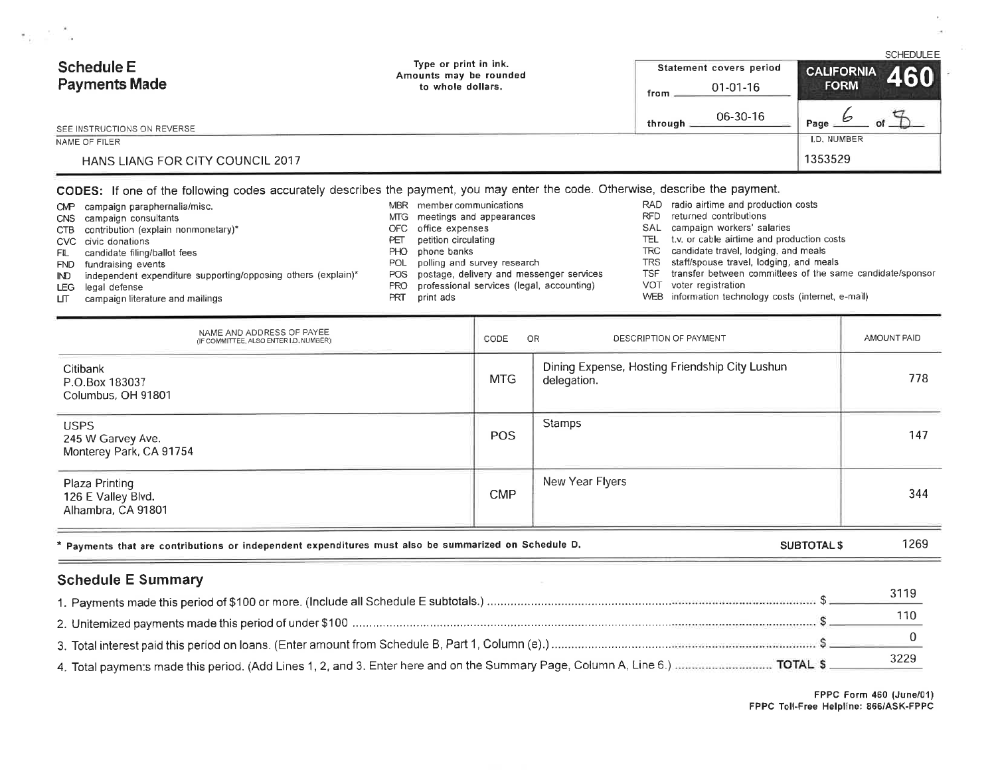| Schedule E<br><b>Payments Made</b>      | Type or print in ink.<br>Amounts may be rounded | Statement covers period | <b>SCHEDULEE</b>                     |
|-----------------------------------------|-------------------------------------------------|-------------------------|--------------------------------------|
|                                         | to whole dollars.                               | $01-01-16$<br>from      | <b>CALIFORNIA</b> 460<br><b>FORM</b> |
| SEE INSTRUCTIONS ON REVERSE             |                                                 | 06-30-16<br>through.    | Page                                 |
| NAME OF FILER                           |                                                 |                         | I.D. NUMBER                          |
| <b>HANS LIANG FOR CITY COUNCIL 2017</b> |                                                 |                         | 1353529                              |

### CODES: If one of the following codes accurately describes the payment, you may enter the code. Otherwise, describe the payment.

| CMP  | campaign paraphernalia/misc.                                  | <b>MBR</b> | member communications                     |      | RAD radio airtime and production costs                    |
|------|---------------------------------------------------------------|------------|-------------------------------------------|------|-----------------------------------------------------------|
|      | CNS campaign consultants                                      |            | MTG meetings and appearances              | RFD. | returned contributions                                    |
|      | CTB contribution (explain nonmonetary)*                       | OFC -      | office expenses                           | SAL  | campaign workers' salaries                                |
|      | CVC civic donations                                           | PET        | petition circulating                      | TEL  | t.v. or cable airtime and production costs                |
| FIL. | candidate filing/ballot fees                                  | PHO.       | phone banks                               |      | TRC candidate travel, lodging, and meals                  |
| FND. | fundraising events                                            | POL        | polling and survey research               |      | TRS staff/spouse travel, lodging, and meals               |
| ID   | independent expenditure supporting/opposing others (explain)* | POS.       | postage, delivery and messenger services  | TSF. | transfer between committees of the same candidate/sponsor |
| LEG  | legal defense                                                 | PRO.       | professional services (legal, accounting) |      | VOT voter registration                                    |
| LП   | campaign literature and mailings                              | PRI        | print ads                                 |      | WEB information technology costs (internet, e-mail)       |
|      |                                                               |            |                                           |      |                                                           |

| NAME AND ADDRESS OF PAYEE<br>(IF COMMITTEE, ALSO ENTER LD, NUMBER)                                   | CODE<br>- OR       | DESCRIPTION OF PAYMENT                                        | AMOUNT PAID |  |
|------------------------------------------------------------------------------------------------------|--------------------|---------------------------------------------------------------|-------------|--|
| Citibank<br>P.O.Box 183037<br>Columbus, OH 91801                                                     | <b>MTG</b>         | Dining Expense, Hosting Friendship City Lushun<br>delegation. | 778         |  |
| <b>USPS</b><br>245 W Garvey Ave.<br>Monterey Park, CA 91754                                          | <b>POS</b>         | <b>Stamps</b>                                                 | 147         |  |
| Plaza Printing<br>126 E Valley Blvd.<br>Alhambra, CA 91801                                           | <b>CMP</b>         | New Year Flyers                                               | 344         |  |
| * Payments that are contributions or independent expenditures must also be summarized on Schedule D. | <b>SUBTOTAL \$</b> |                                                               |             |  |

# **Schedule E Summary**

 $\mathbf{Y}_{11}=\mathbf{X}+\mathbf{X}_1$ 

| 3229 |
|------|

FPPC Form 460 (June/01)<br>FPPC Toll-Free Helpline: 866/ASK-FPPC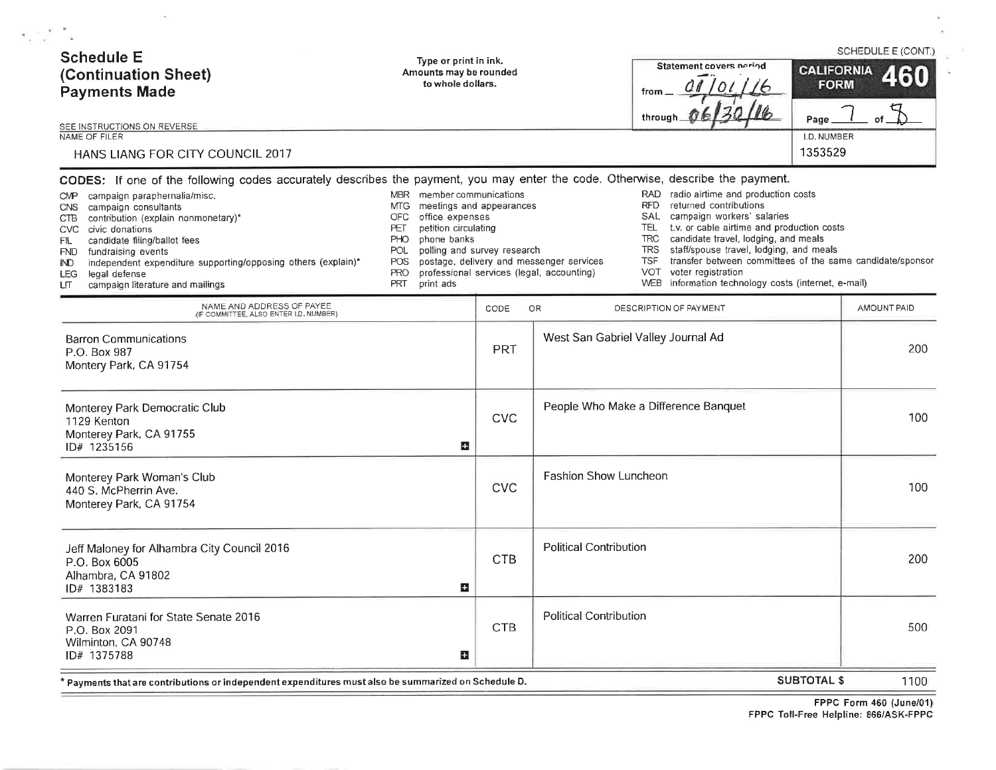| <b>Schedule E</b><br>(Continuation Sheet)<br><b>Payments Made</b>                                                                                                                                                                                                                                                                                  | Type or print in ink.<br>Amounts may be rounded<br>to whole dollars.                                                                                                                                                                                                                                                                                                                                                                                                                                                                                                                                                                                                                                                                                                                                                                                                                                         |            |                               | Statement covers neriod<br>from<br>througl | <b>CALIFORNIA</b><br><b>FORM</b><br>Page | SCHEDULE E (CONT.)<br>460 |
|----------------------------------------------------------------------------------------------------------------------------------------------------------------------------------------------------------------------------------------------------------------------------------------------------------------------------------------------------|--------------------------------------------------------------------------------------------------------------------------------------------------------------------------------------------------------------------------------------------------------------------------------------------------------------------------------------------------------------------------------------------------------------------------------------------------------------------------------------------------------------------------------------------------------------------------------------------------------------------------------------------------------------------------------------------------------------------------------------------------------------------------------------------------------------------------------------------------------------------------------------------------------------|------------|-------------------------------|--------------------------------------------|------------------------------------------|---------------------------|
| SEE INSTRUCTIONS ON REVERSE<br>NAME OF FILER<br>HANS LIANG FOR CITY COUNCIL 2017                                                                                                                                                                                                                                                                   |                                                                                                                                                                                                                                                                                                                                                                                                                                                                                                                                                                                                                                                                                                                                                                                                                                                                                                              |            |                               |                                            | I.D. NUMBER<br>1353529                   |                           |
| campaign paraphernalia/misc.<br><b>CMP</b><br>CNS campaign consultants<br>CTB contribution (explain nonmonetary)*<br>CVC civic donations<br>candidate filing/ballot fees<br>FIL.<br>FND fundraising events<br>independent expenditure supporting/opposing others (explain)*<br>IND.<br>LEG legal defense<br>campaign literature and mailings<br>LП | CODES: If one of the following codes accurately describes the payment, you may enter the code. Otherwise, describe the payment.<br>RAD radio airtime and production costs<br>MBR member communications<br>RFD returned contributions<br>meetings and appearances<br>MTG<br>SAL campaign workers' salaries<br>office expenses<br><b>OFC</b><br>petition circulating<br>TEL t.v. or cable airtime and production costs<br>PET<br>candidate travel, lodging, and meals<br><b>TRC</b><br>PHO<br>phone banks<br>staff/spouse travel, lodging, and meals<br>polling and survey research<br><b>TRS</b><br><b>POL</b><br>transfer between committees of the same candidate/sponsor<br>postage, delivery and messenger services<br><b>TSF</b><br>POS.<br>VOT voter registration<br>professional services (legal, accounting)<br>PRO<br>WEB information technology costs (internet, e-mail)<br><b>PRT</b><br>print ads |            |                               |                                            |                                          |                           |
| NAME AND ADDRESS OF PAYEE<br>(IF COMMITTEE, ALSO ENTER I.D. NUMBER)                                                                                                                                                                                                                                                                                |                                                                                                                                                                                                                                                                                                                                                                                                                                                                                                                                                                                                                                                                                                                                                                                                                                                                                                              | CODE       | OR                            | DESCRIPTION OF PAYMENT                     |                                          | AMOUNT PAID               |
| <b>Barron Communications</b><br>P.O. Box 987<br>Montery Park, CA 91754                                                                                                                                                                                                                                                                             |                                                                                                                                                                                                                                                                                                                                                                                                                                                                                                                                                                                                                                                                                                                                                                                                                                                                                                              | <b>PRT</b> |                               | West San Gabriel Valley Journal Ad         |                                          | 200                       |
| Monterey Park Democratic Club<br>1129 Kenton<br>Monterey Park, CA 91755<br>ID# 1235156                                                                                                                                                                                                                                                             | u                                                                                                                                                                                                                                                                                                                                                                                                                                                                                                                                                                                                                                                                                                                                                                                                                                                                                                            | <b>CVC</b> |                               | People Who Make a Difference Banquet       |                                          | 100                       |
| Monterey Park Woman's Club<br>440 S. McPherrin Ave.<br>Monterey Park, CA 91754                                                                                                                                                                                                                                                                     |                                                                                                                                                                                                                                                                                                                                                                                                                                                                                                                                                                                                                                                                                                                                                                                                                                                                                                              | <b>CVC</b> | <b>Fashion Show Luncheon</b>  |                                            |                                          | 100                       |
| Jeff Maloney for Alhambra City Council 2016<br>P.O. Box 6005<br>Alhambra, CA 91802<br>ID# 1383183                                                                                                                                                                                                                                                  | Œ                                                                                                                                                                                                                                                                                                                                                                                                                                                                                                                                                                                                                                                                                                                                                                                                                                                                                                            | <b>CTB</b> | <b>Political Contribution</b> |                                            |                                          | 200                       |
| Warren Furatani for State Senate 2016<br>P.O. Box 2091<br>Wilminton, CA 90748<br>ID# 1375788                                                                                                                                                                                                                                                       | Œ                                                                                                                                                                                                                                                                                                                                                                                                                                                                                                                                                                                                                                                                                                                                                                                                                                                                                                            | <b>CTB</b> | <b>Political Contribution</b> |                                            |                                          | 500                       |

\* Payments that are contributions or independent expenditures must also be summarized on Schedule D.

 $\langle \sigma \rangle$ 

 $\mathcal{F}_{\mathcal{A}}$ 

**SUBTOTAL \$** 1100

 $\bar{a}$